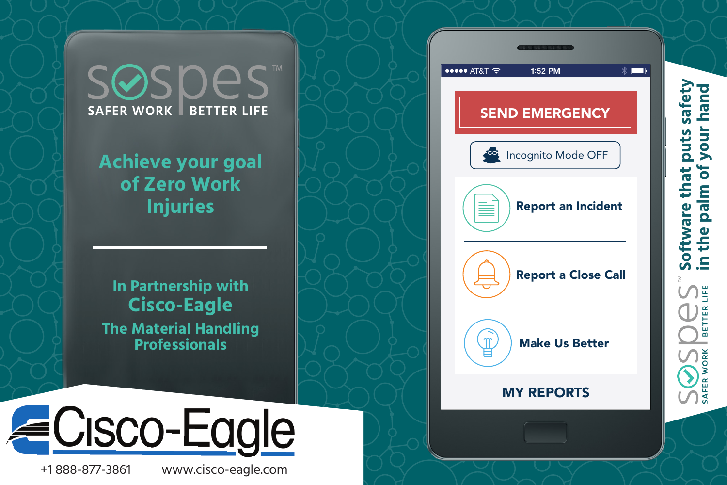**SOSDES SAFER WORK BETTER LIFE** 

**Achieve your goal of Zero Work Injuries**

**In Partnership with Cisco-Eagle The Material Handling Professionals** 



+1 888-877-3861 www.cisco-eagle.com



**Software that puts safety in the palm of your hand**

Software that p<br>in the palm of y

<u>Si</u> TER<sup>1</sup> **BET** 

**SAFER WORK** 

puts safety<br>your hand